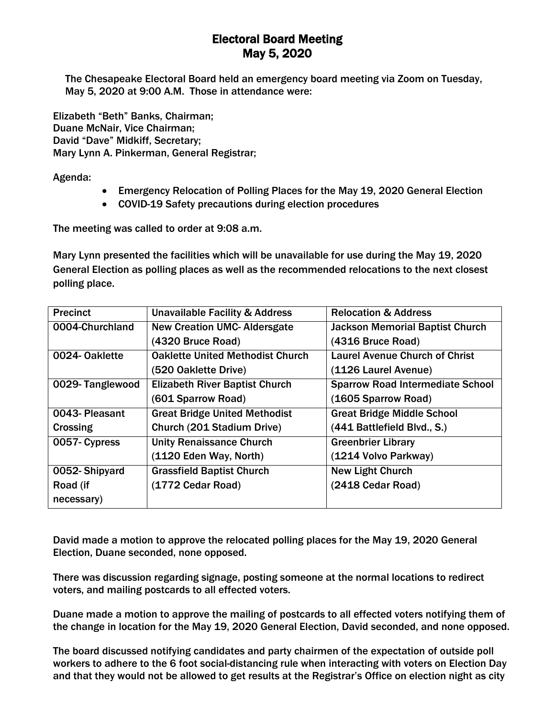## Electoral Board Meeting May 5, 2020

The Chesapeake Electoral Board held an emergency board meeting via Zoom on Tuesday, May 5, 2020 at 9:00 A.M. Those in attendance were:

Elizabeth "Beth" Banks, Chairman; Duane McNair, Vice Chairman; David "Dave" Midkiff, Secretary; Mary Lynn A. Pinkerman, General Registrar;

Agenda:

- Emergency Relocation of Polling Places for the May 19, 2020 General Election
- COVID-19 Safety precautions during election procedures

The meeting was called to order at 9:08 a.m.

Mary Lynn presented the facilities which will be unavailable for use during the May 19, 2020 General Election as polling places as well as the recommended relocations to the next closest polling place.

| <b>Precinct</b> | <b>Unavailable Facility &amp; Address</b> | <b>Relocation &amp; Address</b>         |
|-----------------|-------------------------------------------|-----------------------------------------|
| 0004-Churchland | <b>New Creation UMC- Aldersgate</b>       | <b>Jackson Memorial Baptist Church</b>  |
|                 | (4320 Bruce Road)                         | (4316 Bruce Road)                       |
| 0024-Oaklette   | <b>Oaklette United Methodist Church</b>   | <b>Laurel Avenue Church of Christ</b>   |
|                 | (520 Oaklette Drive)                      | (1126 Laurel Avenue)                    |
| 0029-Tanglewood | <b>Elizabeth River Baptist Church</b>     | <b>Sparrow Road Intermediate School</b> |
|                 | (601 Sparrow Road)                        | (1605 Sparrow Road)                     |
| 0043- Pleasant  | <b>Great Bridge United Methodist</b>      | <b>Great Bridge Middle School</b>       |
| Crossing        | Church (201 Stadium Drive)                | (441 Battlefield Blvd., S.)             |
| 0057- Cypress   | <b>Unity Renaissance Church</b>           | <b>Greenbrier Library</b>               |
|                 | (1120 Eden Way, North)                    | (1214 Volvo Parkway)                    |
| 0052-Shipyard   | <b>Grassfield Baptist Church</b>          | <b>New Light Church</b>                 |
| Road (if        | (1772 Cedar Road)                         | (2418 Cedar Road)                       |
| necessary)      |                                           |                                         |

David made a motion to approve the relocated polling places for the May 19, 2020 General Election, Duane seconded, none opposed.

There was discussion regarding signage, posting someone at the normal locations to redirect voters, and mailing postcards to all effected voters.

Duane made a motion to approve the mailing of postcards to all effected voters notifying them of the change in location for the May 19, 2020 General Election, David seconded, and none opposed.

The board discussed notifying candidates and party chairmen of the expectation of outside poll workers to adhere to the 6 foot social-distancing rule when interacting with voters on Election Day and that they would not be allowed to get results at the Registrar's Office on election night as city